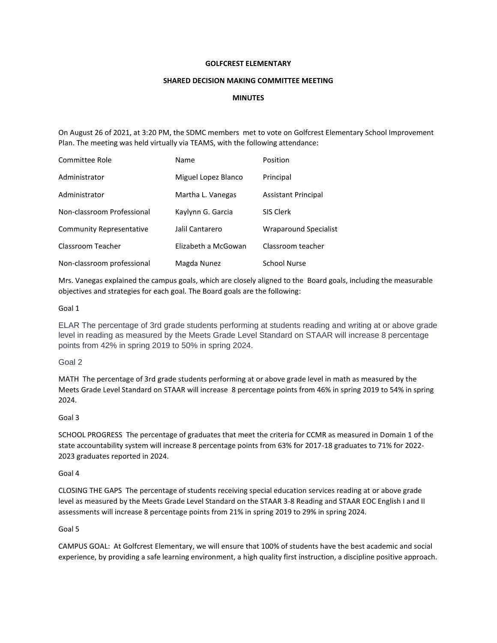## **GOLFCREST ELEMENTARY**

### **SHARED DECISION MAKING COMMITTEE MEETING**

# **MINUTES**

On August 26 of 2021, at 3:20 PM, the SDMC members met to vote on Golfcrest Elementary School Improvement Plan. The meeting was held virtually via TEAMS, with the following attendance:

| Committee Role                  | Name                | Position                     |
|---------------------------------|---------------------|------------------------------|
| Administrator                   | Miguel Lopez Blanco | Principal                    |
| Administrator                   | Martha L. Vanegas   | Assistant Principal          |
| Non-classroom Professional      | Kaylynn G. Garcia   | SIS Clerk                    |
| <b>Community Representative</b> | Jalil Cantarero     | <b>Wraparound Specialist</b> |
| Classroom Teacher               | Elizabeth a McGowan | Classroom teacher            |
| Non-classroom professional      | Magda Nunez         | <b>School Nurse</b>          |

Mrs. Vanegas explained the campus goals, which are closely aligned to the Board goals, including the measurable objectives and strategies for each goal. The Board goals are the following:

#### Goal 1

ELAR The percentage of 3rd grade students performing at students reading and writing at or above grade level in reading as measured by the Meets Grade Level Standard on STAAR will increase 8 percentage points from 42% in spring 2019 to 50% in spring 2024.

### Goal 2

MATH The percentage of 3rd grade students performing at or above grade level in math as measured by the Meets Grade Level Standard on STAAR will increase 8 percentage points from 46% in spring 2019 to 54% in spring 2024.

## Goal 3

SCHOOL PROGRESS The percentage of graduates that meet the criteria for CCMR as measured in Domain 1 of the state accountability system will increase 8 percentage points from 63% for 2017-18 graduates to 71% for 2022- 2023 graduates reported in 2024.

#### Goal 4

CLOSING THE GAPS The percentage of students receiving special education services reading at or above grade level as measured by the Meets Grade Level Standard on the STAAR 3-8 Reading and STAAR EOC English I and II assessments will increase 8 percentage points from 21% in spring 2019 to 29% in spring 2024.

#### Goal 5

CAMPUS GOAL: At Golfcrest Elementary, we will ensure that 100% of students have the best academic and social experience, by providing a safe learning environment, a high quality first instruction, a discipline positive approach.